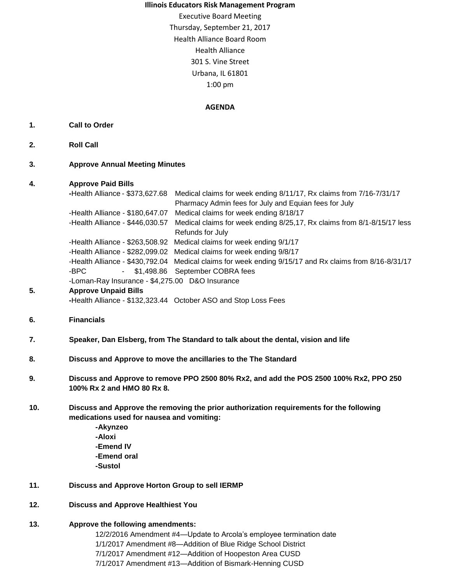#### **Illinois Educators Risk Management Program**

Executive Board Meeting Thursday, September 21, 2017 Health Alliance Board Room Health Alliance 301 S. Vine Street Urbana, IL 61801 1:00 pm

#### **AGENDA**

### **1. Call to Order**

- **2. Roll Call**
- **3. Approve Annual Meeting Minutes**

### **4. Approve Paid Bills**

|    | <b>Financials</b>                               | -Health Alliance - \$132,323.44 October ASO and Stop Loss Fees                                         |
|----|-------------------------------------------------|--------------------------------------------------------------------------------------------------------|
| 5. | <b>Approve Unpaid Bills</b>                     |                                                                                                        |
|    | -Loman-Ray Insurance - \$4,275.00 D&O Insurance |                                                                                                        |
|    | -BPC<br>$\sim 100$                              | \$1,498.86 September COBRA fees                                                                        |
|    |                                                 | -Health Alliance - \$430,792.04 Medical claims for week ending 9/15/17 and Rx claims from 8/16-8/31/17 |
|    |                                                 | -Health Alliance - \$282,099.02 Medical claims for week ending 9/8/17                                  |
|    |                                                 | -Health Alliance - \$263,508.92 Medical claims for week ending 9/1/17                                  |
|    |                                                 | Refunds for July                                                                                       |
|    | -Health Alliance - \$446,030.57                 | Medical claims for week ending 8/25,17, Rx claims from 8/1-8/15/17 less                                |
|    | -Health Alliance - \$180,647.07                 | Medical claims for week ending 8/18/17                                                                 |
|    |                                                 | Pharmacy Admin fees for July and Equian fees for July                                                  |
|    | -Health Alliance - \$373,627.68                 | Medical claims for week ending 8/11/17, Rx claims from 7/16-7/31/17                                    |
|    |                                                 |                                                                                                        |

**7. Speaker, Dan Elsberg, from The Standard to talk about the dental, vision and life**

## **8. Discuss and Approve to move the ancillaries to the The Standard**

- **9. Discuss and Approve to remove PPO 2500 80% Rx2, and add the POS 2500 100% Rx2, PPO 250 100% Rx 2 and HMO 80 Rx 8.**
- **10. Discuss and Approve the removing the prior authorization requirements for the following medications used for nausea and vomiting:**
	- **-Akynzeo -Aloxi -Emend IV -Emend oral -Sustol**

# **11. Discuss and Approve Horton Group to sell IERMP**

### **12. Discuss and Approve Healthiest You**

### **13. Approve the following amendments:**

12/2/2016 Amendment #4—Update to Arcola's employee termination date 1/1/2017 Amendment #8—Addition of Blue Ridge School District 7/1/2017 Amendment #12—Addition of Hoopeston Area CUSD 7/1/2017 Amendment #13—Addition of Bismark-Henning CUSD